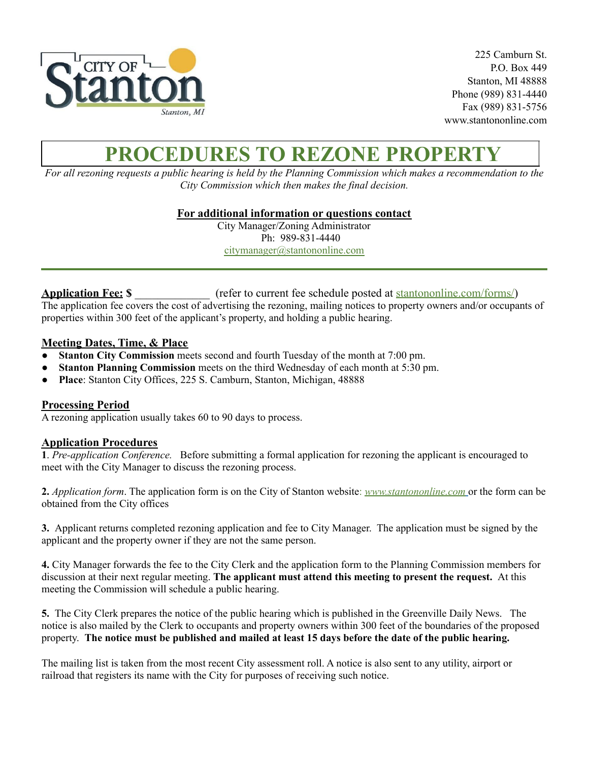

225 Camburn St. P.O. Box 449 Stanton, MI 48888 Phone (989) 831-4440 Fax (989) 831-5756 www.stantononline.com

## **PROCEDURES TO REZONE PROPERTY**

For all rezoning requests a public hearing is held by the Planning Commission which makes a recommendation to the *City Commission which then makes the final decision.*

**For additional information or questions contact**

City Manager/Zoning Administrator Ph: 989-831-4440 [citymanager@stantononline.com](mailto:citymanager@stantononline.com)

**Application Fee: \$** \_\_\_\_\_\_\_\_\_\_\_\_\_ (refer to current fee schedule posted at [stantononline.com/forms/\)](https://stantononline.com/forms/) The application fee covers the cost of advertising the rezoning, mailing notices to property owners and/or occupants of properties within 300 feet of the applicant's property, and holding a public hearing.

## **Meeting Dates, Time, & Place**

- **Stanton City Commission** meets second and fourth Tuesday of the month at 7:00 pm.
- **Stanton Planning Commission** meets on the third Wednesday of each month at 5:30 pm.
- **Place**: Stanton City Offices, 225 S. Camburn, Stanton, Michigan, 48888

## **Processing Period**

A rezoning application usually takes 60 to 90 days to process.

## **Application Procedures**

**1**. *Pre-application Conference.* Before submitting a formal application for rezoning the applicant is encouraged to meet with the City Manager to discuss the rezoning process.

**2.** *Application form*. The application form is on the City of Stanton website: *[www.](http://www.waytwp.org)stantononline.com* or the form can be obtained from the City offices

**3.** Applicant returns completed rezoning application and fee to City Manager. The application must be signed by the applicant and the property owner if they are not the same person.

**4.** City Manager forwards the fee to the City Clerk and the application form to the Planning Commission members for discussion at their next regular meeting. **The applicant must attend this meeting to present the request.** At this meeting the Commission will schedule a public hearing.

**5.** The City Clerk prepares the notice of the public hearing which is published in the Greenville Daily News. The notice is also mailed by the Clerk to occupants and property owners within 300 feet of the boundaries of the proposed property. The notice must be published and mailed at least 15 days before the date of the public hearing.

The mailing list is taken from the most recent City assessment roll. A notice is also sent to any utility, airport or railroad that registers its name with the City for purposes of receiving such notice.